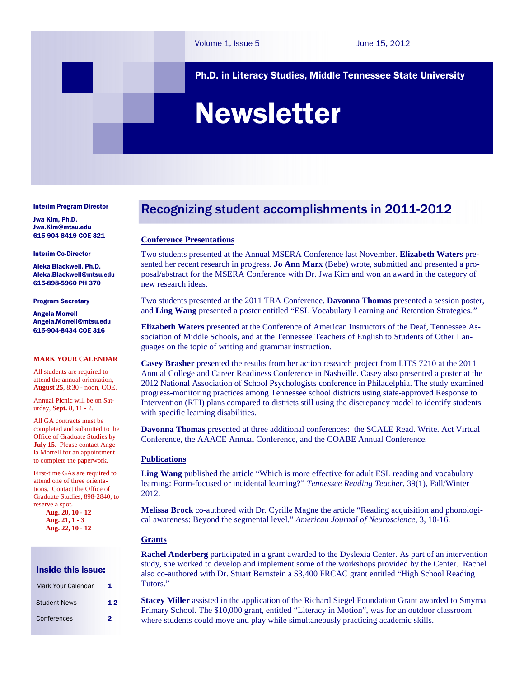Ph.D. in Literacy Studies, Middle Tennessee State University

# Newsletter

Interim Program Director

Jwa Kim, Ph.D. Jwa.Kim@mtsu.edu 615-904-8419 COE 321

#### Interim Co-Director

Aleka Blackwell, Ph.D. Aleka.Blackwell@mtsu.edu 615-898-5960 PH 370

#### Program Secretary

Angela Morrell Angela.Morrell@mtsu.edu 615-904-8434 COE 316

#### **MARK YOUR CALENDAR**

All students are required to attend the annual orientation, **August 25**, 8:30 - noon, COE.

Annual Picnic will be on Saturday, **Sept. 8**, 11 - 2.

All GA contracts must be completed and submitted to the Office of Graduate Studies by **July 15**. Please contact Angela Morrell for an appointment to complete the paperwork.

First-time GAs are required to attend one of three orientations. Contact the Office of Graduate Studies, 898-2840, to reserve a spot.

**Aug. 20, 10 - 12 Aug. 21, 1 - 3 Aug. 22, 10 - 12** 

## Inside this issue:

| Mark Your Calendar  | 1     |
|---------------------|-------|
| <b>Student News</b> | $1-2$ |
| Conferences         | 2     |

# Recognizing student accomplishments in 2011-2012

### **Conference Presentations**

Two students presented at the Annual MSERA Conference last November. **Elizabeth Waters** presented her recent research in progress. **Jo Ann Marx** (Bebe) wrote, submitted and presented a proposal/abstract for the MSERA Conference with Dr. Jwa Kim and won an award in the category of new research ideas.

Two students presented at the 2011 TRA Conference. **Davonna Thomas** presented a session poster, and **Ling Wang** presented a poster entitled "ESL Vocabulary Learning and Retention Strategies*."* 

**Elizabeth Waters** presented at the Conference of American Instructors of the Deaf, Tennessee Association of Middle Schools, and at the Tennessee Teachers of English to Students of Other Languages on the topic of writing and grammar instruction.

**Casey Brasher** presented the results from her action research project from LITS 7210 at the 2011 Annual College and Career Readiness Conference in Nashville. Casey also presented a poster at the 2012 National Association of School Psychologists conference in Philadelphia. The study examined progress-monitoring practices among Tennessee school districts using state-approved Response to Intervention (RTI) plans compared to districts still using the discrepancy model to identify students with specific learning disabilities.

**Davonna Thomas** presented at three additional conferences: the SCALE Read. Write. Act Virtual Conference, the AAACE Annual Conference, and the COABE Annual Conference.

#### **Publications**

**Ling Wang** published the article "Which is more effective for adult ESL reading and vocabulary learning: Form-focused or incidental learning?" *Tennessee Reading Teacher*, 39(1), Fall/Winter 2012.

**Melissa Brock** co-authored with Dr. Cyrille Magne the article "Reading acquisition and phonological awareness: Beyond the segmental level." *American Journal of Neuroscience*, 3, 10-16.

#### **Grants**

**Rachel Anderberg** participated in a grant awarded to the Dyslexia Center. As part of an intervention study, she worked to develop and implement some of the workshops provided by the Center. Rachel also co-authored with Dr. Stuart Bernstein a \$3,400 FRCAC grant entitled "High School Reading Tutors."

**Stacey Miller** assisted in the application of the Richard Siegel Foundation Grant awarded to Smyrna Primary School. The \$10,000 grant, entitled "Literacy in Motion", was for an outdoor classroom where students could move and play while simultaneously practicing academic skills.